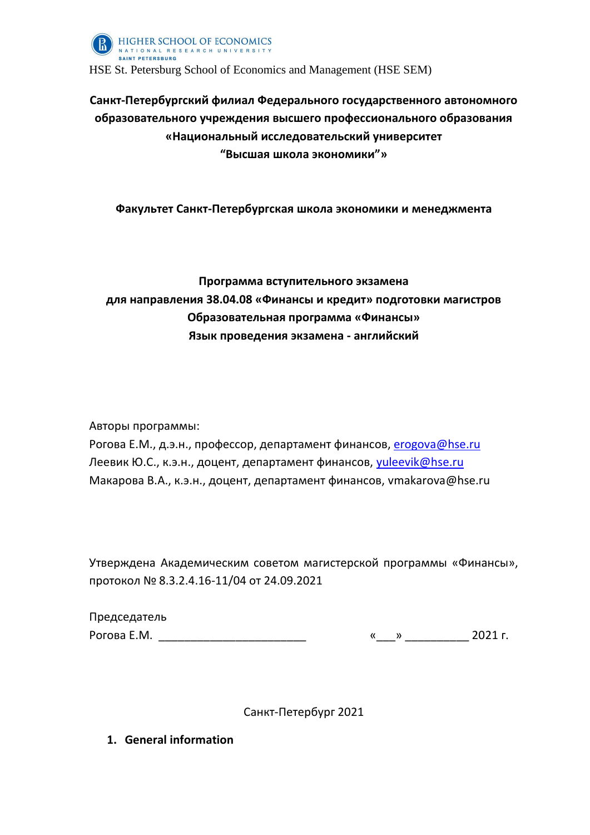

# **Санкт-Петербургский филиал Федерального государственного автономного образовательного учреждения высшего профессионального образования «Национальный исследовательский университет "Высшая школа экономики"»**

### **Факультет Санкт-Петербургская школа экономики и менеджмента**

# **Программа вступительного экзамена для направления 38.04.08 «Финансы и кредит» подготовки магистров Образовательная программа «Финансы» Язык проведения экзамена - английский**

Авторы программы:

Рогова Е.М., д.э.н., профессор, департамент финансов, **[erogova@hse.ru](mailto:erogova@hse.ru)** Леевик Ю.С., к.э.н., доцент, департамент финансов, [yuleevik@hse.ru](mailto:yuleevik@hse.ru) Макарова В.А., к.э.н., доцент, департамент финансов, vmakarova@hse.ru

Утверждена Академическим советом магистерской программы «Финансы», протокол № 8.3.2.4.16-11/04 от 24.09.2021

| Председатель |  |         |
|--------------|--|---------|
| Рогова Е.М.  |  | 2021 r. |

Санкт-Петербург 2021

**1. General information**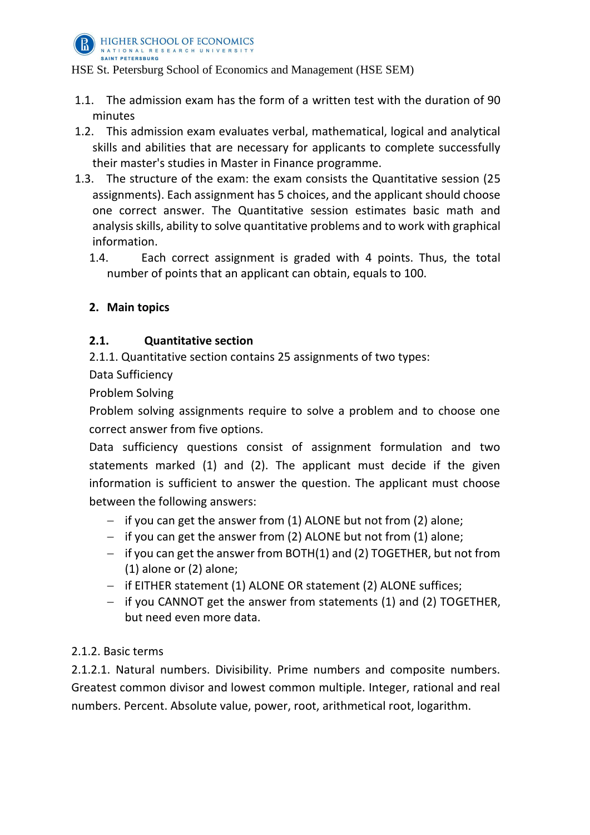

HIGHER SCHOOL OF ECONOMICS NATIONAL RESEARCH UNIVERSITY SAINT PETERSBURG

HSE St. Petersburg School of Economics and Management (HSE SEM)

- 1.1. The admission exam has the form of a written test with the duration of 90 minutes
- 1.2. This admission exam evaluates verbal, mathematical, logical and analytical skills and abilities that are necessary for applicants to complete successfully their master's studies in Master in Finance programme.
- 1.3. The structure of the exam: the exam consists the Quantitative session (25 assignments). Each assignment has 5 choices, and the applicant should choose one correct answer. The Quantitative session estimates basic math and analysis skills, ability to solve quantitative problems and to work with graphical information.
	- 1.4. Each correct assignment is graded with 4 points. Thus, the total number of points that an applicant can obtain, equals to 100.

# **2. Main topics**

# **2.1. Quantitative section**

2.1.1. Quantitative section contains 25 assignments of two types:

Data Sufficiency

Problem Solving

Problem solving assignments require to solve a problem and to choose one correct answer from five options.

Data sufficiency questions consist of assignment formulation and two statements marked (1) and (2). The applicant must decide if the given information is sufficient to answer the question. The applicant must choose between the following answers:

- $-$  if you can get the answer from (1) ALONE but not from (2) alone;
- $-$  if you can get the answer from (2) ALONE but not from (1) alone;
- $-$  if you can get the answer from BOTH(1) and (2) TOGETHER, but not from (1) alone or (2) alone;
- if EITHER statement (1) ALONE OR statement (2) ALONE suffices;
- if you CANNOT get the answer from statements (1) and (2) TOGETHER, but need even more data.

# 2.1.2. Basic terms

2.1.2.1. Natural numbers. Divisibility. Prime numbers and composite numbers. Greatest common divisor and lowest common multiple. Integer, rational and real numbers. Percent. Absolute value, power, root, arithmetical root, logarithm.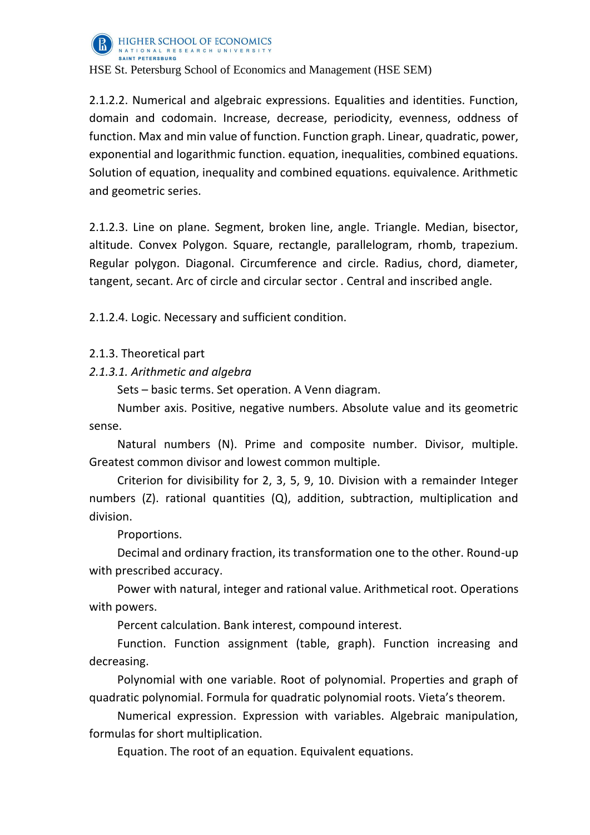

2.1.2.2. Numerical and algebraic expressions. Equalities and identities. Function, domain and codomain. Increase, decrease, periodicity, evenness, oddness of function. Max and min value of function. Function graph. Linear, quadratic, power, exponential and logarithmic function. equation, inequalities, combined equations. Solution of equation, inequality and combined equations. equivalence. Arithmetic and geometric series.

2.1.2.3. Line on plane. Segment, broken line, angle. Triangle. Median, bisector, altitude. Convex Polygon. Square, rectangle, parallelogram, rhomb, trapezium. Regular polygon. Diagonal. Circumference and circle. Radius, chord, diameter, tangent, secant. Arc of circle and circular sector . Central and inscribed angle.

2.1.2.4. Logic. Necessary and sufficient condition.

2.1.3. Theoretical part

*2.1.3.1. Arithmetic and algebra*

Sets – basic terms. Set operation. A Venn diagram.

Number axis. Positive, negative numbers. Absolute value and its geometric sense.

Natural numbers (N). Prime and composite number. Divisor, multiple. Greatest common divisor and lowest common multiple.

Criterion for divisibility for 2, 3, 5, 9, 10. Division with a remainder Integer numbers (Z). rational quantities (Q), addition, subtraction, multiplication and division.

Proportions.

Decimal and ordinary fraction, its transformation one to the other. Round-up with prescribed accuracy.

Power with natural, integer and rational value. Arithmetical root. Operations with powers.

Percent calculation. Bank interest, compound interest.

Function. Function assignment (table, graph). Function increasing and decreasing.

Polynomial with one variable. Root of polynomial. Properties and graph of quadratic polynomial. Formula for quadratic polynomial roots. Vieta's theorem.

Numerical expression. Expression with variables. Algebraic manipulation, formulas for short multiplication.

Equation. The root of an equation. Equivalent equations.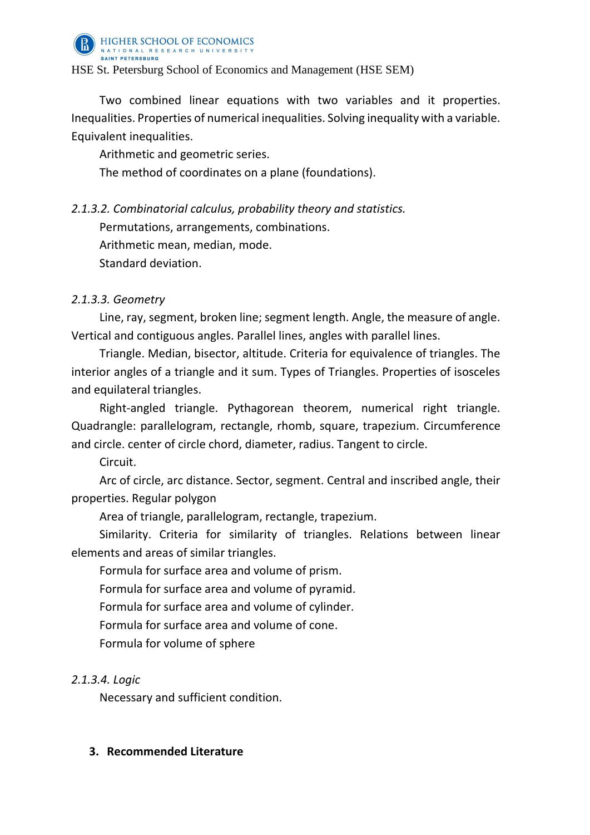

Two combined linear equations with two variables and it properties. Inequalities. Properties of numerical inequalities. Solving inequality with a variable. Equivalent inequalities.

Arithmetic and geometric series.

The method of coordinates on a plane (foundations).

*2.1.3.2. Combinatorial calculus, probability theory and statistics.*

Permutations, arrangements, combinations.

Arithmetic mean, median, mode.

Standard deviation.

# *2.1.3.3. Geometry*

Line, ray, segment, broken line; segment length. Angle, the measure of angle. Vertical and contiguous angles. Parallel lines, angles with parallel lines.

Triangle. Median, bisector, altitude. Criteria for equivalence of triangles. The interior angles of a triangle and it sum. Types of Triangles. Properties of isosceles and equilateral triangles.

Right-angled triangle. Pythagorean theorem, numerical right triangle. Quadrangle: parallelogram, rectangle, rhomb, square, trapezium. Circumference and circle. center of circle chord, diameter, radius. Tangent to circle.

Circuit.

Arc of circle, arc distance. Sector, segment. Central and inscribed angle, their properties. Regular polygon

Area of triangle, parallelogram, rectangle, trapezium.

Similarity. Criteria for similarity of triangles. Relations between linear elements and areas of similar triangles.

Formula for surface area and volume of prism.

Formula for surface area and volume of pyramid.

Formula for surface area and volume of cylinder.

Formula for surface area and volume of cone.

Formula for volume of sphere

# *2.1.3.4. Logic*

Necessary and sufficient condition.

### **3. Recommended Literature**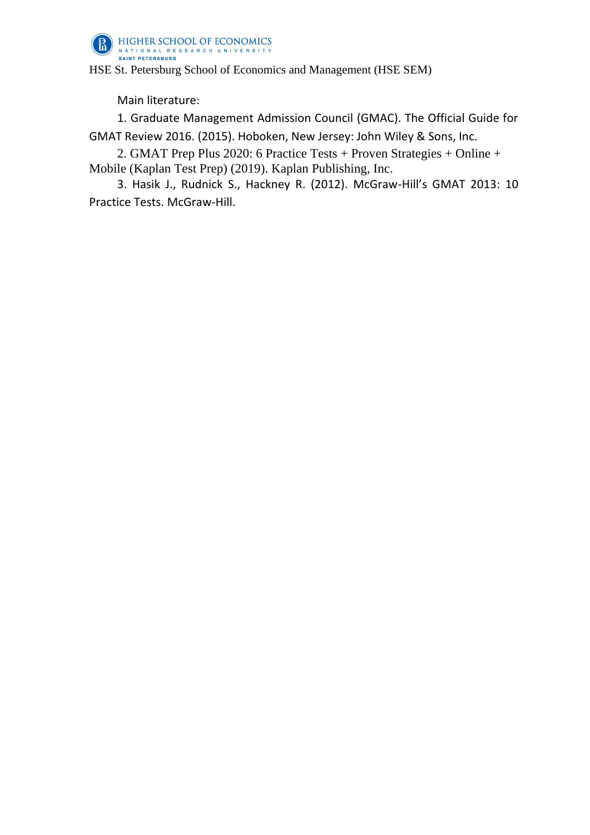

Main literature:

1. Graduate Management Admission Council (GMAC). The Official Guide for GMAT Review 2016. (2015). Hoboken, New Jersey: John Wiley & Sons, Inc.

2. GMAT Prep Plus 2020: 6 Practice Tests + Proven Strategies + Online + Mobile (Kaplan Test Prep) (2019). Kaplan Publishing, Inc.

3. Hasik J., Rudnick S., Hackney R. (2012). McGraw-Hill's GMAT 2013: 10 Practice Tests. McGraw-Hill.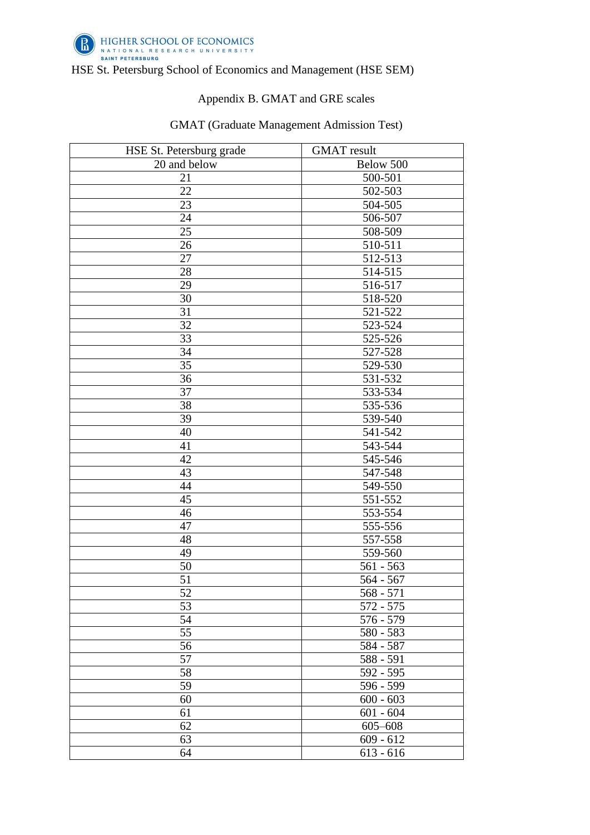

# Appendix B. GMAT and GRE scales

### GMAT (Graduate Management Admission Test)

| HSE St. Petersburg grade | <b>GMAT</b> result |  |
|--------------------------|--------------------|--|
| 20 and below             | Below 500          |  |
| 21                       | 500-501            |  |
| $\overline{22}$          | $502 - 503$        |  |
| 23                       | 504-505            |  |
| 24                       | 506-507            |  |
| 25                       | 508-509            |  |
| $\overline{26}$          | 510-511            |  |
| 27                       | 512-513            |  |
| 28                       | 514-515            |  |
| 29                       | 516-517            |  |
| 30                       | 518-520            |  |
| $\overline{31}$          | 521-522            |  |
| 32                       | 523-524            |  |
| $\overline{33}$          | 525-526            |  |
| $\overline{34}$          | 527-528            |  |
| 35                       | 529-530            |  |
| 36                       | 531-532            |  |
| 37                       | 533-534            |  |
| 38                       | 535-536            |  |
| 39                       | 539-540            |  |
| 40                       | 541-542            |  |
| 41                       | 543-544            |  |
| 42                       | 545-546            |  |
| 43                       | 547-548            |  |
| 44                       | 549-550            |  |
| 45                       | 551-552            |  |
| $\overline{46}$          | 553-554            |  |
| 47                       | 555-556            |  |
| 48                       | 557-558            |  |
| 49                       | 559-560            |  |
| 50                       | $561 - 563$        |  |
| 51                       | $564 - 567$        |  |
| 52                       | $568 - 571$        |  |
| $\overline{53}$          | $572 - 575$        |  |
| $\overline{54}$          | $576 - 579$        |  |
| 55                       | 580 - 583          |  |
| 56                       | 584 - 587          |  |
| 57                       | 588 - 591          |  |
| 58                       | $592 - 595$        |  |
| 59                       | 596 - 599          |  |
| 60                       | $600 - 603$        |  |
| 61                       | $601 - 604$        |  |
| 62                       | $605 - 608$        |  |
| 63                       | $609 - 612$        |  |
| 64                       | $613 - 616$        |  |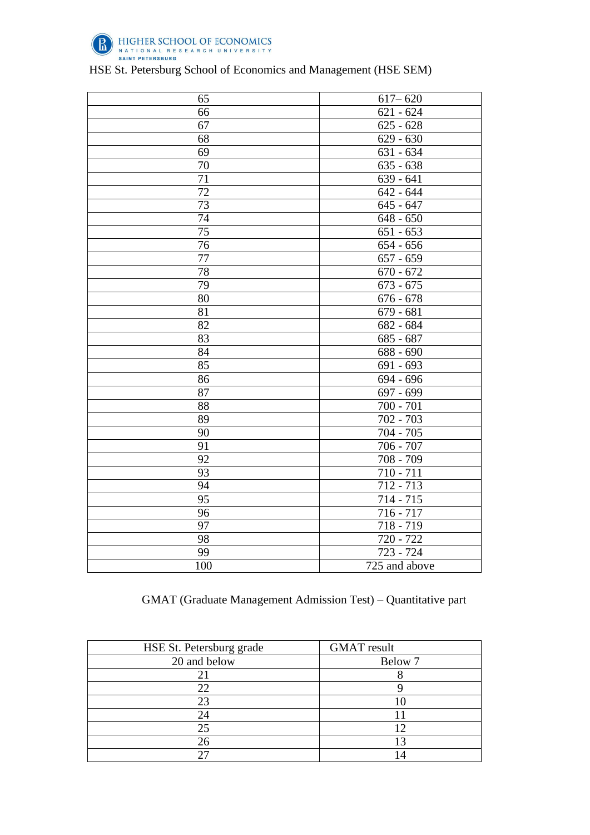

| 65              | $617 - 620$              |
|-----------------|--------------------------|
| 66              | $621 - 624$              |
| 67              | $625 - 628$              |
| 68              | $\overline{629}$ - 630   |
| 69              | $\overline{631} - 634$   |
| 70              | $\overline{635}$ - 638   |
| 71              | $\overline{639}$ - 641   |
| $\overline{72}$ | $642 - 644$              |
| $\overline{73}$ | $645 - 647$              |
| 74              | $648 - 650$              |
| $\overline{75}$ | $651 - 653$              |
| 76              | $654 - 656$              |
| 77              | $657 - 659$              |
| $\overline{78}$ | $670 - 672$              |
| 79              | $673 - 675$              |
| 80              | $676 - 678$              |
| 81              | $679 - 681$              |
| 82              | $682 - 684$              |
| 83              | $685 - 687$              |
| 84              | $\overline{688}$ - 690   |
| 85              | $691 - 693$              |
| 86              | 694 - 696                |
| 87              | $697 - 699$              |
| $\overline{88}$ | $\overline{700}$ - $701$ |
| 89              | 702 - 703                |
| 90              | $704 - 705$              |
| $\overline{91}$ | $706 - 707$              |
| 92              | 708 - 709                |
| $\overline{93}$ | $710 - 711$              |
| 94              | 712 - 713                |
| 95              | $714 - 715$              |
| 96              | $716 - 717$              |
| 97              | 718 - 719                |
| 98              | $720 - 722$              |
| 99              | $723 - 724$              |
| 100             | 725 and above            |

# GMAT (Graduate Management Admission Test) – Quantitative part

| HSE St. Petersburg grade | <b>GMAT</b> result |
|--------------------------|--------------------|
| 20 and below             | Below 7            |
|                          |                    |
| 22                       |                    |
| 23                       |                    |
| 24                       |                    |
| 25                       |                    |
| 26                       |                    |
|                          |                    |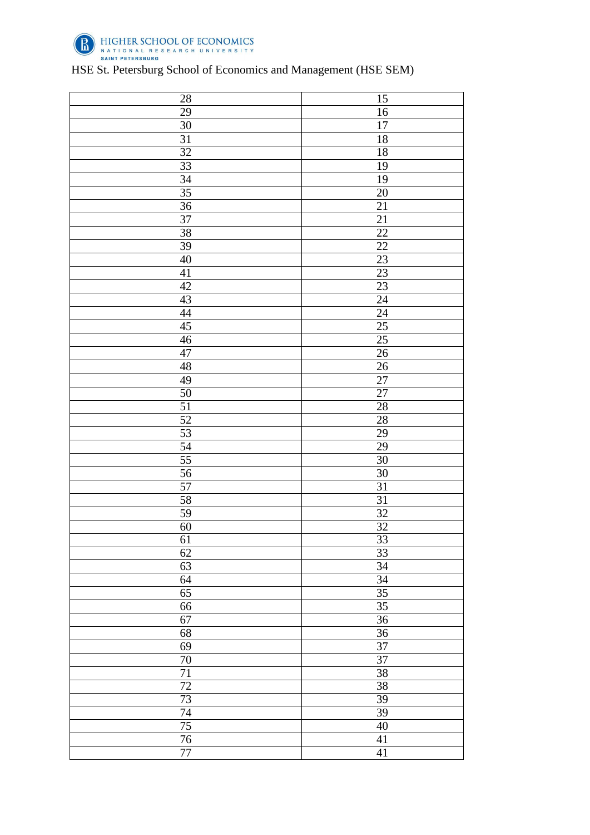

| 29<br>16<br>$30\,$<br>$17\,$<br>$\overline{31}$<br>$18\,$<br>32<br>$\overline{18}$<br>$\overline{33}$<br>19<br>34<br>19<br>$\overline{35}$<br>20<br>$\overline{36}$<br>$\overline{21}$<br>$\overline{37}$<br>21<br>38<br>$22\,$<br>39<br>$\overline{22}$<br>$\overline{23}$<br>$40\,$<br>41<br>23<br>23<br>$42\,$<br>43<br>$\overline{24}$<br>44<br>$\overline{24}$<br>45<br>25<br>$25\,$<br>46<br>47<br>$\overline{26}$<br>48<br>$\overline{26}$<br>49<br>27<br>$\overline{27}$<br>$50\,$<br>$\overline{51}$<br>28<br>52<br>28<br>53<br>29<br>54<br>29<br>$\overline{55}$<br>$\overline{30}$<br>56<br>$\overline{30}$<br>57<br>31<br>$\overline{31}$<br>58<br>59<br>$\overline{32}$<br>$\overline{32}$<br>$\frac{60}{61}$<br>$\overline{33}$<br>62<br>33<br>34<br>63<br>34<br>64<br>35<br>65<br>$\overline{35}$<br>66<br>67<br>36<br>$\overline{36}$<br>68<br>$\overline{37}$<br>69<br>$70\,$<br>37<br>$\overline{71}$<br>38<br>$\overline{72}$<br>38<br>$\overline{73}$<br>39<br>74<br>39<br>$\overline{75}$<br>$40\,$<br>$\overline{76}$<br>$\overline{41}$ | 28      | 15 |
|----------------------------------------------------------------------------------------------------------------------------------------------------------------------------------------------------------------------------------------------------------------------------------------------------------------------------------------------------------------------------------------------------------------------------------------------------------------------------------------------------------------------------------------------------------------------------------------------------------------------------------------------------------------------------------------------------------------------------------------------------------------------------------------------------------------------------------------------------------------------------------------------------------------------------------------------------------------------------------------------------------------------------------------------------------------|---------|----|
|                                                                                                                                                                                                                                                                                                                                                                                                                                                                                                                                                                                                                                                                                                                                                                                                                                                                                                                                                                                                                                                                |         |    |
|                                                                                                                                                                                                                                                                                                                                                                                                                                                                                                                                                                                                                                                                                                                                                                                                                                                                                                                                                                                                                                                                |         |    |
|                                                                                                                                                                                                                                                                                                                                                                                                                                                                                                                                                                                                                                                                                                                                                                                                                                                                                                                                                                                                                                                                |         |    |
|                                                                                                                                                                                                                                                                                                                                                                                                                                                                                                                                                                                                                                                                                                                                                                                                                                                                                                                                                                                                                                                                |         |    |
|                                                                                                                                                                                                                                                                                                                                                                                                                                                                                                                                                                                                                                                                                                                                                                                                                                                                                                                                                                                                                                                                |         |    |
|                                                                                                                                                                                                                                                                                                                                                                                                                                                                                                                                                                                                                                                                                                                                                                                                                                                                                                                                                                                                                                                                |         |    |
|                                                                                                                                                                                                                                                                                                                                                                                                                                                                                                                                                                                                                                                                                                                                                                                                                                                                                                                                                                                                                                                                |         |    |
|                                                                                                                                                                                                                                                                                                                                                                                                                                                                                                                                                                                                                                                                                                                                                                                                                                                                                                                                                                                                                                                                |         |    |
|                                                                                                                                                                                                                                                                                                                                                                                                                                                                                                                                                                                                                                                                                                                                                                                                                                                                                                                                                                                                                                                                |         |    |
|                                                                                                                                                                                                                                                                                                                                                                                                                                                                                                                                                                                                                                                                                                                                                                                                                                                                                                                                                                                                                                                                |         |    |
|                                                                                                                                                                                                                                                                                                                                                                                                                                                                                                                                                                                                                                                                                                                                                                                                                                                                                                                                                                                                                                                                |         |    |
|                                                                                                                                                                                                                                                                                                                                                                                                                                                                                                                                                                                                                                                                                                                                                                                                                                                                                                                                                                                                                                                                |         |    |
|                                                                                                                                                                                                                                                                                                                                                                                                                                                                                                                                                                                                                                                                                                                                                                                                                                                                                                                                                                                                                                                                |         |    |
|                                                                                                                                                                                                                                                                                                                                                                                                                                                                                                                                                                                                                                                                                                                                                                                                                                                                                                                                                                                                                                                                |         |    |
|                                                                                                                                                                                                                                                                                                                                                                                                                                                                                                                                                                                                                                                                                                                                                                                                                                                                                                                                                                                                                                                                |         |    |
|                                                                                                                                                                                                                                                                                                                                                                                                                                                                                                                                                                                                                                                                                                                                                                                                                                                                                                                                                                                                                                                                |         |    |
|                                                                                                                                                                                                                                                                                                                                                                                                                                                                                                                                                                                                                                                                                                                                                                                                                                                                                                                                                                                                                                                                |         |    |
|                                                                                                                                                                                                                                                                                                                                                                                                                                                                                                                                                                                                                                                                                                                                                                                                                                                                                                                                                                                                                                                                |         |    |
|                                                                                                                                                                                                                                                                                                                                                                                                                                                                                                                                                                                                                                                                                                                                                                                                                                                                                                                                                                                                                                                                |         |    |
|                                                                                                                                                                                                                                                                                                                                                                                                                                                                                                                                                                                                                                                                                                                                                                                                                                                                                                                                                                                                                                                                |         |    |
|                                                                                                                                                                                                                                                                                                                                                                                                                                                                                                                                                                                                                                                                                                                                                                                                                                                                                                                                                                                                                                                                |         |    |
|                                                                                                                                                                                                                                                                                                                                                                                                                                                                                                                                                                                                                                                                                                                                                                                                                                                                                                                                                                                                                                                                |         |    |
|                                                                                                                                                                                                                                                                                                                                                                                                                                                                                                                                                                                                                                                                                                                                                                                                                                                                                                                                                                                                                                                                |         |    |
|                                                                                                                                                                                                                                                                                                                                                                                                                                                                                                                                                                                                                                                                                                                                                                                                                                                                                                                                                                                                                                                                |         |    |
|                                                                                                                                                                                                                                                                                                                                                                                                                                                                                                                                                                                                                                                                                                                                                                                                                                                                                                                                                                                                                                                                |         |    |
|                                                                                                                                                                                                                                                                                                                                                                                                                                                                                                                                                                                                                                                                                                                                                                                                                                                                                                                                                                                                                                                                |         |    |
|                                                                                                                                                                                                                                                                                                                                                                                                                                                                                                                                                                                                                                                                                                                                                                                                                                                                                                                                                                                                                                                                |         |    |
|                                                                                                                                                                                                                                                                                                                                                                                                                                                                                                                                                                                                                                                                                                                                                                                                                                                                                                                                                                                                                                                                |         |    |
|                                                                                                                                                                                                                                                                                                                                                                                                                                                                                                                                                                                                                                                                                                                                                                                                                                                                                                                                                                                                                                                                |         |    |
|                                                                                                                                                                                                                                                                                                                                                                                                                                                                                                                                                                                                                                                                                                                                                                                                                                                                                                                                                                                                                                                                |         |    |
|                                                                                                                                                                                                                                                                                                                                                                                                                                                                                                                                                                                                                                                                                                                                                                                                                                                                                                                                                                                                                                                                |         |    |
|                                                                                                                                                                                                                                                                                                                                                                                                                                                                                                                                                                                                                                                                                                                                                                                                                                                                                                                                                                                                                                                                |         |    |
|                                                                                                                                                                                                                                                                                                                                                                                                                                                                                                                                                                                                                                                                                                                                                                                                                                                                                                                                                                                                                                                                |         |    |
|                                                                                                                                                                                                                                                                                                                                                                                                                                                                                                                                                                                                                                                                                                                                                                                                                                                                                                                                                                                                                                                                |         |    |
|                                                                                                                                                                                                                                                                                                                                                                                                                                                                                                                                                                                                                                                                                                                                                                                                                                                                                                                                                                                                                                                                |         |    |
|                                                                                                                                                                                                                                                                                                                                                                                                                                                                                                                                                                                                                                                                                                                                                                                                                                                                                                                                                                                                                                                                |         |    |
|                                                                                                                                                                                                                                                                                                                                                                                                                                                                                                                                                                                                                                                                                                                                                                                                                                                                                                                                                                                                                                                                |         |    |
|                                                                                                                                                                                                                                                                                                                                                                                                                                                                                                                                                                                                                                                                                                                                                                                                                                                                                                                                                                                                                                                                |         |    |
|                                                                                                                                                                                                                                                                                                                                                                                                                                                                                                                                                                                                                                                                                                                                                                                                                                                                                                                                                                                                                                                                |         |    |
|                                                                                                                                                                                                                                                                                                                                                                                                                                                                                                                                                                                                                                                                                                                                                                                                                                                                                                                                                                                                                                                                |         |    |
|                                                                                                                                                                                                                                                                                                                                                                                                                                                                                                                                                                                                                                                                                                                                                                                                                                                                                                                                                                                                                                                                |         |    |
|                                                                                                                                                                                                                                                                                                                                                                                                                                                                                                                                                                                                                                                                                                                                                                                                                                                                                                                                                                                                                                                                |         |    |
|                                                                                                                                                                                                                                                                                                                                                                                                                                                                                                                                                                                                                                                                                                                                                                                                                                                                                                                                                                                                                                                                |         |    |
|                                                                                                                                                                                                                                                                                                                                                                                                                                                                                                                                                                                                                                                                                                                                                                                                                                                                                                                                                                                                                                                                |         |    |
|                                                                                                                                                                                                                                                                                                                                                                                                                                                                                                                                                                                                                                                                                                                                                                                                                                                                                                                                                                                                                                                                |         |    |
|                                                                                                                                                                                                                                                                                                                                                                                                                                                                                                                                                                                                                                                                                                                                                                                                                                                                                                                                                                                                                                                                |         |    |
|                                                                                                                                                                                                                                                                                                                                                                                                                                                                                                                                                                                                                                                                                                                                                                                                                                                                                                                                                                                                                                                                |         |    |
|                                                                                                                                                                                                                                                                                                                                                                                                                                                                                                                                                                                                                                                                                                                                                                                                                                                                                                                                                                                                                                                                |         |    |
|                                                                                                                                                                                                                                                                                                                                                                                                                                                                                                                                                                                                                                                                                                                                                                                                                                                                                                                                                                                                                                                                | $77 \,$ | 41 |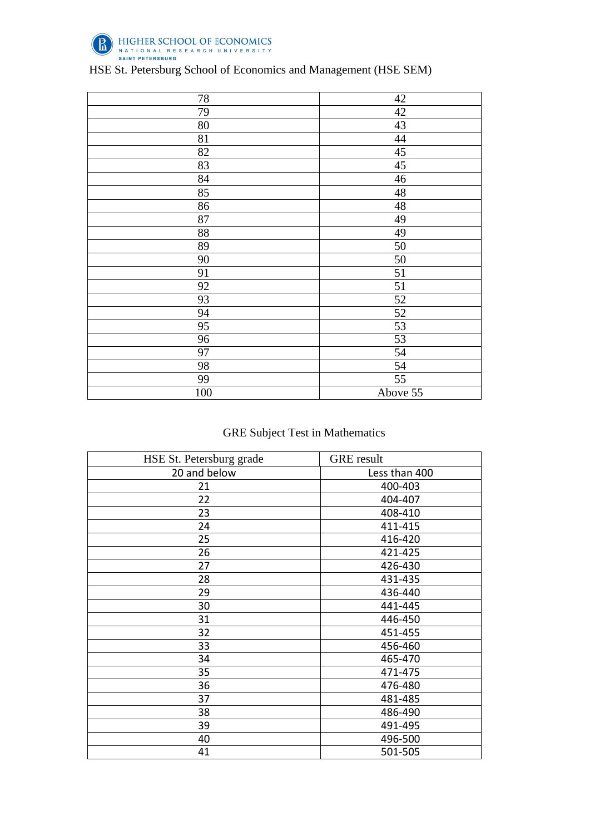

| 78              | 42              |
|-----------------|-----------------|
| 79              | 42              |
| 80              | 43              |
| 81              | 44              |
| 82              | 45              |
| 83              | 45              |
| 84              | 46              |
| 85              | $\sqrt{48}$     |
| 86              | 48              |
| 87              | 49              |
| 88              | 49              |
| 89              | 50              |
| 90              | 50              |
| 91              | 51              |
| 92              | $\overline{51}$ |
| $\overline{93}$ | $52\,$          |
| 94              | $52\,$          |
| 95              | 53              |
| 96              | 53              |
| 97              | 54              |
| 98              | 54              |
| 99              | 55              |
| 100             | Above 55        |

# GRE Subject Test in Mathematics

| HSE St. Petersburg grade | <b>GRE</b> result |
|--------------------------|-------------------|
| 20 and below             | Less than 400     |
| 21                       | 400-403           |
| 22                       | 404-407           |
| 23                       | 408-410           |
| 24                       | 411-415           |
| 25                       | 416-420           |
| 26                       | 421-425           |
| 27                       | 426-430           |
| 28                       | 431-435           |
| 29                       | 436-440           |
| 30                       | 441-445           |
| 31                       | 446-450           |
| 32                       | 451-455           |
| 33                       | 456-460           |
| 34                       | 465-470           |
| 35                       | 471-475           |
| 36                       | 476-480           |
| 37                       | 481-485           |
| 38                       | 486-490           |
| 39                       | 491-495           |
| 40                       | 496-500           |
| 41                       | 501-505           |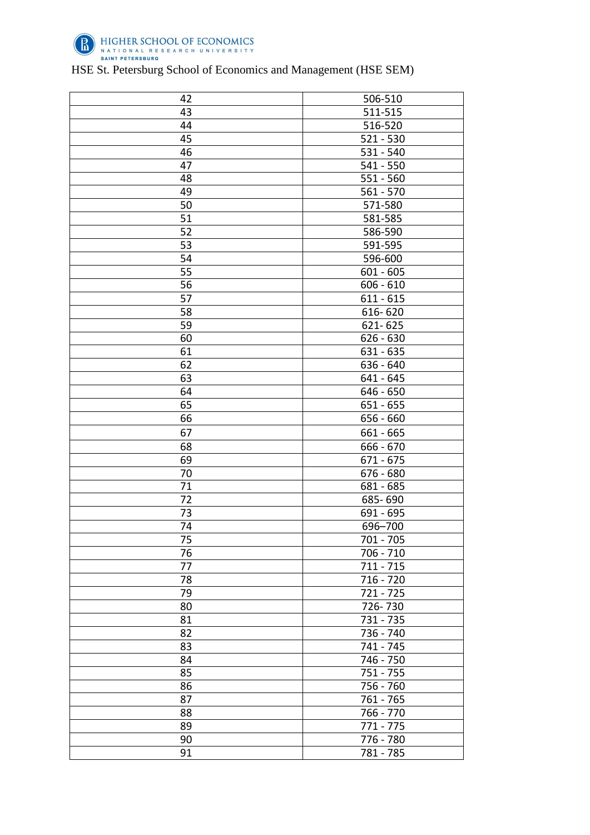

| 42 | 506-510     |
|----|-------------|
| 43 | 511-515     |
| 44 | 516-520     |
| 45 | $521 - 530$ |
| 46 | 531 - 540   |
| 47 | $541 - 550$ |
| 48 | 551 - 560   |
| 49 | $561 - 570$ |
| 50 | 571-580     |
| 51 | 581-585     |
| 52 | 586-590     |
| 53 | 591-595     |
| 54 | 596-600     |
| 55 | $601 - 605$ |
| 56 | $606 - 610$ |
| 57 | $611 - 615$ |
| 58 | 616-620     |
| 59 | 621-625     |
| 60 | $626 - 630$ |
| 61 | 631 - 635   |
| 62 | 636 - 640   |
| 63 | $641 - 645$ |
| 64 | 646 - 650   |
| 65 | 651 - 655   |
| 66 | 656 - 660   |
| 67 | 661 - 665   |
| 68 | 666 - 670   |
| 69 | $671 - 675$ |
| 70 | 676 - 680   |
| 71 | 681 - 685   |
| 72 | 685-690     |
| 73 | 691 - 695   |
| 74 | 696-700     |
| 75 | $701 - 705$ |
| 76 | 706 - 710   |
| 77 | $711 - 715$ |
| 78 | 716 - 720   |
| 79 | 721 - 725   |
| 80 | 726-730     |
| 81 | 731 - 735   |
| 82 | 736 - 740   |
| 83 | 741 - 745   |
|    |             |
| 84 | 746 - 750   |
| 85 | 751 - 755   |
| 86 | 756 - 760   |
| 87 | 761 - 765   |
| 88 | 766 - 770   |
| 89 | 771 - 775   |
| 90 | 776 - 780   |
| 91 | 781 - 785   |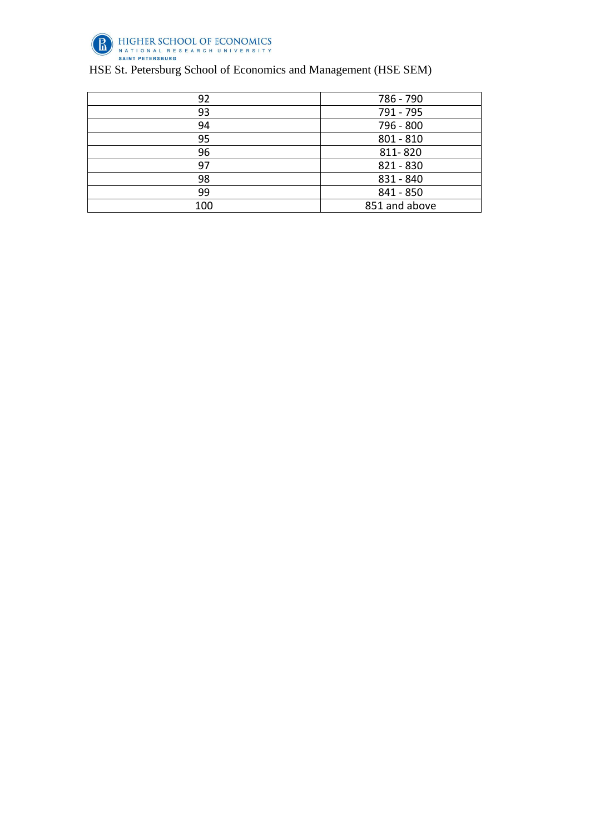

| 92  | 786 - 790     |
|-----|---------------|
| 93  | 791 - 795     |
| 94  | 796 - 800     |
| 95  | $801 - 810$   |
| 96  | 811-820       |
| 97  | 821 - 830     |
| 98  | 831 - 840     |
| 99  | 841 - 850     |
| 100 | 851 and above |